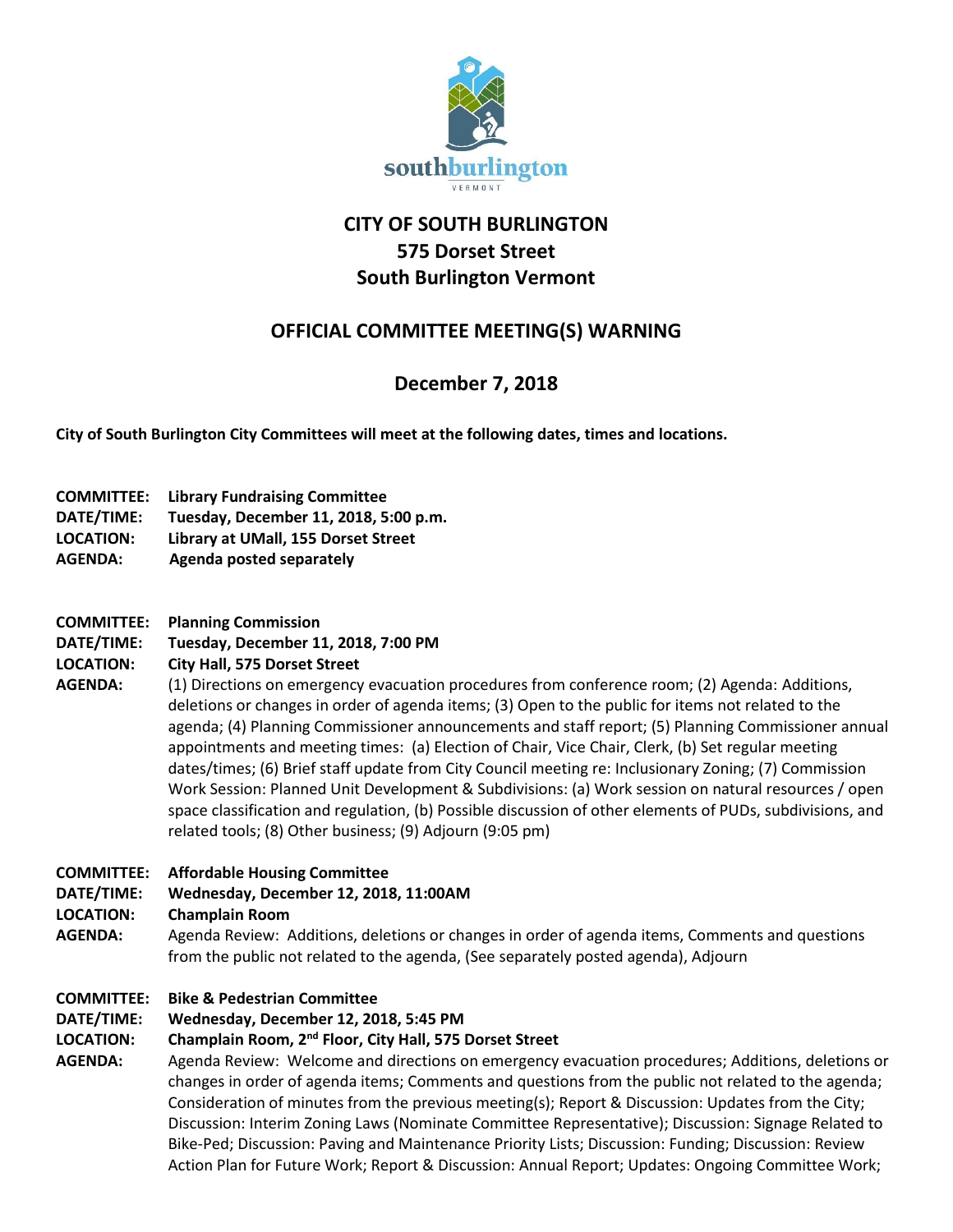

# **CITY OF SOUTH BURLINGTON 575 Dorset Street South Burlington Vermont**

# **OFFICIAL COMMITTEE MEETING(S) WARNING**

# **December 7, 2018**

**City of South Burlington City Committees will meet at the following dates, times and locations.** 

- **COMMITTEE: Library Fundraising Committee**
- **DATE/TIME: Tuesday, December 11, 2018, 5:00 p.m.**
- **LOCATION: Library at UMall, 155 Dorset Street**
- **AGENDA: Agenda posted separately**
- **COMMITTEE: Planning Commission**
- **DATE/TIME: Tuesday, December 11, 2018, 7:00 PM**
- **LOCATION: City Hall, 575 Dorset Street**
- **AGENDA:** (1) Directions on emergency evacuation procedures from conference room; (2) Agenda: Additions, deletions or changes in order of agenda items; (3) Open to the public for items not related to the agenda; (4) Planning Commissioner announcements and staff report; (5) Planning Commissioner annual appointments and meeting times: (a) Election of Chair, Vice Chair, Clerk, (b) Set regular meeting dates/times; (6) Brief staff update from City Council meeting re: Inclusionary Zoning; (7) Commission Work Session: Planned Unit Development & Subdivisions: (a) Work session on natural resources / open space classification and regulation, (b) Possible discussion of other elements of PUDs, subdivisions, and related tools; (8) Other business; (9) Adjourn (9:05 pm)
- **COMMITTEE: Affordable Housing Committee**
- **DATE/TIME: Wednesday, December 12, 2018, 11:00AM**
- **LOCATION: Champlain Room**
- **AGENDA:** Agenda Review: Additions, deletions or changes in order of agenda items, Comments and questions from the public not related to the agenda, (See separately posted agenda), Adjourn
- **COMMITTEE: Bike & Pedestrian Committee**
- **DATE/TIME: Wednesday, December 12, 2018, 5:45 PM**

### **LOCATION: Champlain Room, 2nd Floor, City Hall, 575 Dorset Street**

**AGENDA:** Agenda Review: Welcome and directions on emergency evacuation procedures; Additions, deletions or changes in order of agenda items; Comments and questions from the public not related to the agenda; Consideration of minutes from the previous meeting(s); Report & Discussion: Updates from the City; Discussion: Interim Zoning Laws (Nominate Committee Representative); Discussion: Signage Related to Bike-Ped; Discussion: Paving and Maintenance Priority Lists; Discussion: Funding; Discussion: Review Action Plan for Future Work; Report & Discussion: Annual Report; Updates: Ongoing Committee Work;